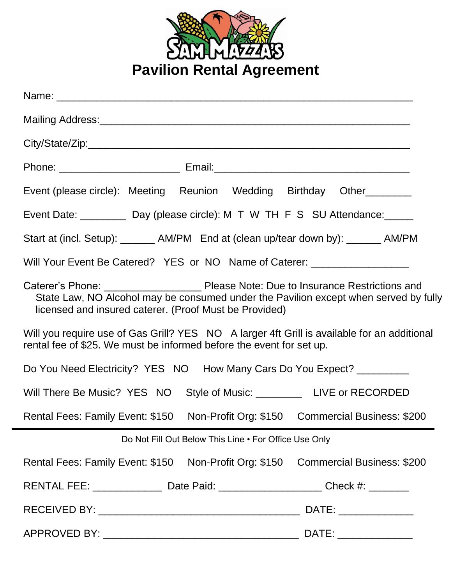

| Event (please circle): Meeting Reunion Wedding Birthday Other________                                                                                               |  |  |
|---------------------------------------------------------------------------------------------------------------------------------------------------------------------|--|--|
| Event Date: __________ Day (please circle): M T W TH F S SU Attendance: ______                                                                                      |  |  |
| Start at (incl. Setup): _______ AM/PM End at (clean up/tear down by): ______ AM/PM                                                                                  |  |  |
| Will Your Event Be Catered? YES or NO Name of Caterer: _________________________                                                                                    |  |  |
| State Law, NO Alcohol may be consumed under the Pavilion except when served by fully<br>licensed and insured caterer. (Proof Must be Provided)                      |  |  |
| Will you require use of Gas Grill? YES NO A larger 4ft Grill is available for an additional<br>rental fee of \$25. We must be informed before the event for set up. |  |  |
| Do You Need Electricity? YES NO How Many Cars Do You Expect? _________                                                                                              |  |  |
| Will There Be Music? YES NO Style of Music: _____________ LIVE or RECORDED                                                                                          |  |  |
| Rental Fees: Family Event: \$150 Non-Profit Org: \$150 Commercial Business: \$200                                                                                   |  |  |
| Do Not Fill Out Below This Line . For Office Use Only                                                                                                               |  |  |
| Rental Fees: Family Event: \$150 Non-Profit Org: \$150 Commercial Business: \$200                                                                                   |  |  |
| RENTAL FEE: ______________________Date Paid: ___________________________Check #: ___________                                                                        |  |  |
|                                                                                                                                                                     |  |  |
|                                                                                                                                                                     |  |  |